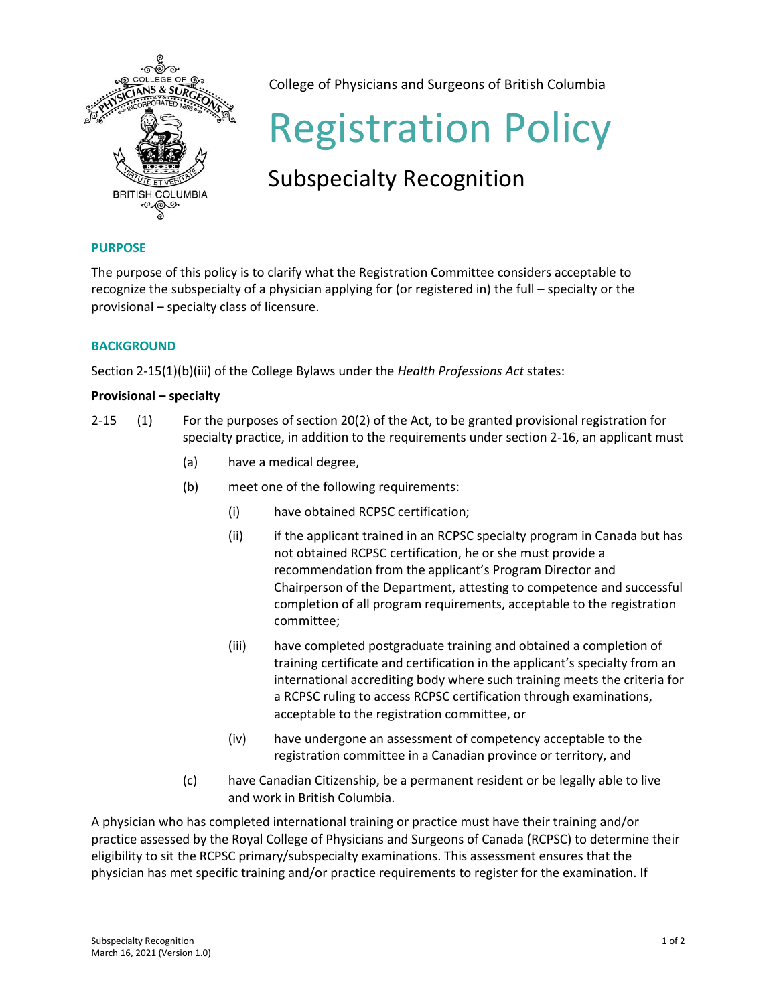

College of Physicians and Surgeons of British Columbia

# Registration Policy

# Subspecialty Recognition

# **PURPOSE**

The purpose of this policy is to clarify what the Registration Committee considers acceptable to recognize the subspecialty of a physician applying for (or registered in) the full – specialty or the provisional – specialty class of licensure.

## **BACKGROUND**

Section 2-15(1)(b)(iii) of the College Bylaws under the *Health Professions Act* states:

## **Provisional – specialty**

- 2-15 (1) For the purposes of section 20(2) of the Act, to be granted provisional registration for specialty practice, in addition to the requirements under section 2-16, an applicant must
	- (a) have a medical degree,
	- (b) meet one of the following requirements:
		- (i) have obtained RCPSC certification;
		- (ii) if the applicant trained in an RCPSC specialty program in Canada but has not obtained RCPSC certification, he or she must provide a recommendation from the applicant's Program Director and Chairperson of the Department, attesting to competence and successful completion of all program requirements, acceptable to the registration committee;
		- (iii) have completed postgraduate training and obtained a completion of training certificate and certification in the applicant's specialty from an international accrediting body where such training meets the criteria for a RCPSC ruling to access RCPSC certification through examinations, acceptable to the registration committee, or
		- (iv) have undergone an assessment of competency acceptable to the registration committee in a Canadian province or territory, and
	- (c) have Canadian Citizenship, be a permanent resident or be legally able to live and work in British Columbia.

A physician who has completed international training or practice must have their training and/or practice assessed by the Royal College of Physicians and Surgeons of Canada (RCPSC) to determine their eligibility to sit the RCPSC primary/subspecialty examinations. This assessment ensures that the physician has met specific training and/or practice requirements to register for the examination. If